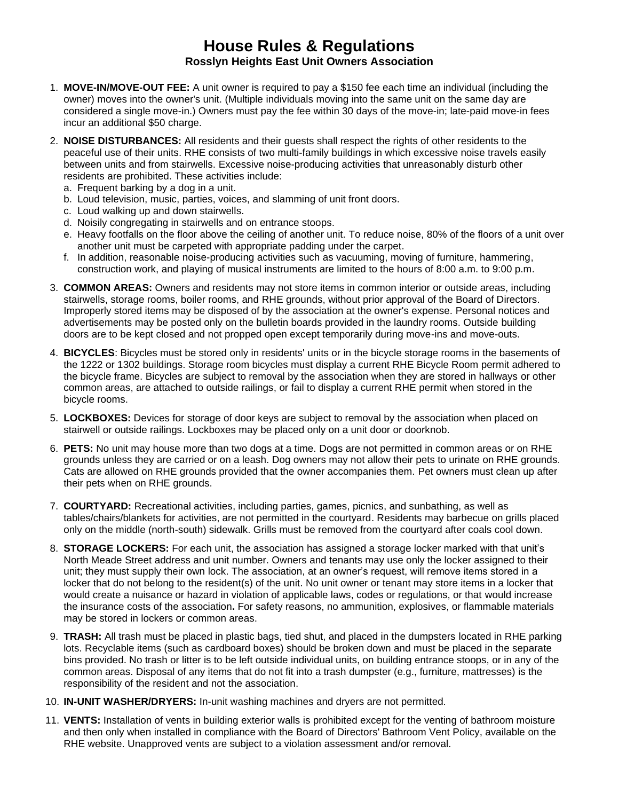## **House Rules & Regulations Rosslyn Heights East Unit Owners Association**

- 1. **MOVE-IN/MOVE-OUT FEE:** A unit owner is required to pay a \$150 fee each time an individual (including the owner) moves into the owner's unit. (Multiple individuals moving into the same unit on the same day are considered a single move-in.) Owners must pay the fee within 30 days of the move-in; late-paid move-in fees incur an additional \$50 charge.
- 2. **NOISE DISTURBANCES:** All residents and their guests shall respect the rights of other residents to the peaceful use of their units. RHE consists of two multi-family buildings in which excessive noise travels easily between units and from stairwells. Excessive noise-producing activities that unreasonably disturb other residents are prohibited. These activities include:
	- a. Frequent barking by a dog in a unit.
	- b. Loud television, music, parties, voices, and slamming of unit front doors.
	- c. Loud walking up and down stairwells.
	- d. Noisily congregating in stairwells and on entrance stoops.
	- e. Heavy footfalls on the floor above the ceiling of another unit. To reduce noise, 80% of the floors of a unit over another unit must be carpeted with appropriate padding under the carpet.
	- f. In addition, reasonable noise-producing activities such as vacuuming, moving of furniture, hammering, construction work, and playing of musical instruments are limited to the hours of 8:00 a.m. to 9:00 p.m.
- 3. **COMMON AREAS:** Owners and residents may not store items in common interior or outside areas, including stairwells, storage rooms, boiler rooms, and RHE grounds, without prior approval of the Board of Directors. Improperly stored items may be disposed of by the association at the owner's expense. Personal notices and advertisements may be posted only on the bulletin boards provided in the laundry rooms. Outside building doors are to be kept closed and not propped open except temporarily during move-ins and move-outs.
- 4. **BICYCLES**: Bicycles must be stored only in residents' units or in the bicycle storage rooms in the basements of the 1222 or 1302 buildings. Storage room bicycles must display a current RHE Bicycle Room permit adhered to the bicycle frame. Bicycles are subject to removal by the association when they are stored in hallways or other common areas, are attached to outside railings, or fail to display a current RHE permit when stored in the bicycle rooms.
- 5. **LOCKBOXES:** Devices for storage of door keys are subject to removal by the association when placed on stairwell or outside railings. Lockboxes may be placed only on a unit door or doorknob.
- 6. **PETS:** No unit may house more than two dogs at a time. Dogs are not permitted in common areas or on RHE grounds unless they are carried or on a leash. Dog owners may not allow their pets to urinate on RHE grounds. Cats are allowed on RHE grounds provided that the owner accompanies them. Pet owners must clean up after their pets when on RHE grounds.
- 7. **COURTYARD:** Recreational activities, including parties, games, picnics, and sunbathing, as well as tables/chairs/blankets for activities, are not permitted in the courtyard. Residents may barbecue on grills placed only on the middle (north-south) sidewalk. Grills must be removed from the courtyard after coals cool down.
- 8. **STORAGE LOCKERS:** For each unit, the association has assigned a storage locker marked with that unit's North Meade Street address and unit number. Owners and tenants may use only the locker assigned to their unit; they must supply their own lock. The association, at an owner's request, will remove items stored in a locker that do not belong to the resident(s) of the unit. No unit owner or tenant may store items in a locker that would create a nuisance or hazard in violation of applicable laws, codes or regulations, or that would increase the insurance costs of the association**.** For safety reasons, no ammunition, explosives, or flammable materials may be stored in lockers or common areas.
- 9. **TRASH:** All trash must be placed in plastic bags, tied shut, and placed in the dumpsters located in RHE parking lots. Recyclable items (such as cardboard boxes) should be broken down and must be placed in the separate bins provided. No trash or litter is to be left outside individual units, on building entrance stoops, or in any of the common areas. Disposal of any items that do not fit into a trash dumpster (e.g., furniture, mattresses) is the responsibility of the resident and not the association.
- 10. **IN-UNIT WASHER/DRYERS:** In-unit washing machines and dryers are not permitted.
- 11. **VENTS:** Installation of vents in building exterior walls is prohibited except for the venting of bathroom moisture and then only when installed in compliance with the Board of Directors' Bathroom Vent Policy, available on the RHE website. Unapproved vents are subject to a violation assessment and/or removal.